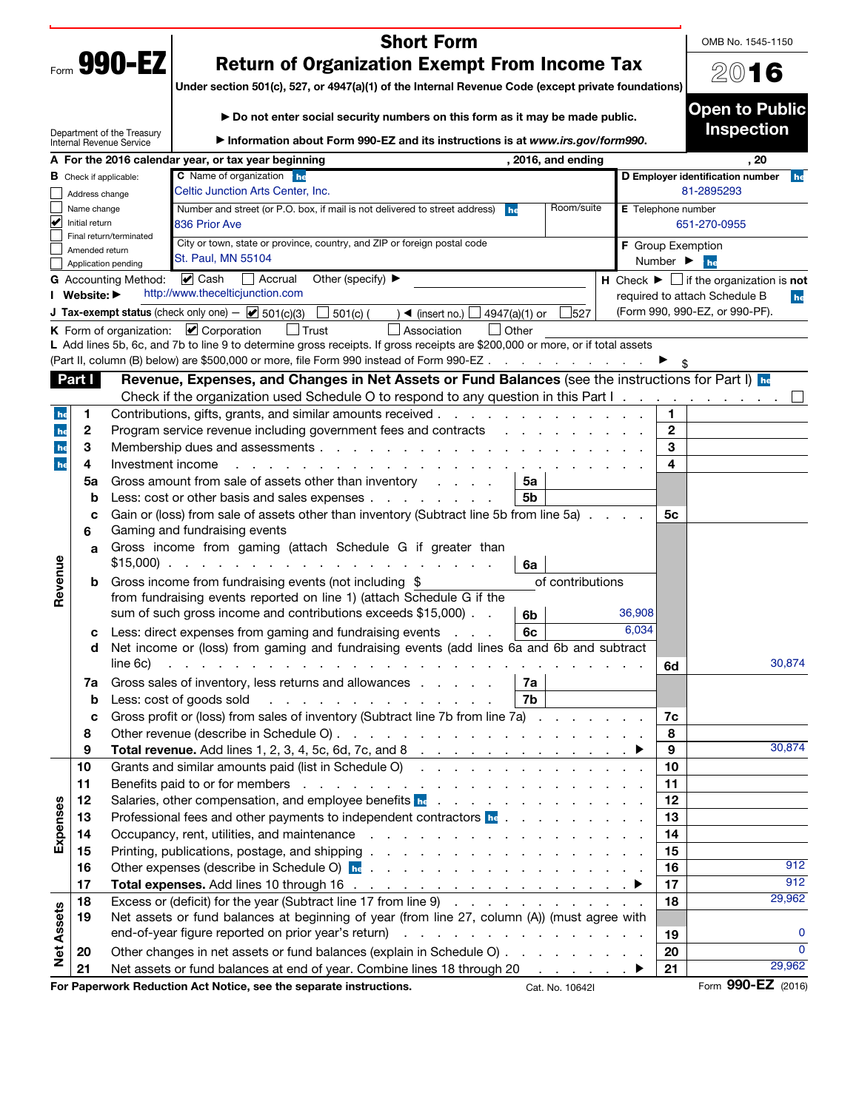|                   |                |                               | <b>Short Form</b>                                                                                                                                                                                                              |               |                                                                                                                 |                           |                              | OMB No. 1545-1150                                             |
|-------------------|----------------|-------------------------------|--------------------------------------------------------------------------------------------------------------------------------------------------------------------------------------------------------------------------------|---------------|-----------------------------------------------------------------------------------------------------------------|---------------------------|------------------------------|---------------------------------------------------------------|
|                   |                | 990-EZ                        | <b>Return of Organization Exempt From Income Tax</b>                                                                                                                                                                           |               |                                                                                                                 |                           |                              | 2016                                                          |
|                   |                |                               | Under section 501(c), 527, or 4947(a)(1) of the Internal Revenue Code (except private foundations)                                                                                                                             |               |                                                                                                                 |                           |                              |                                                               |
|                   |                |                               | Do not enter social security numbers on this form as it may be made public.                                                                                                                                                    |               |                                                                                                                 |                           |                              | <b>Open to Public</b>                                         |
|                   |                | Department of the Treasury    | Information about Form 990-EZ and its instructions is at www.irs.gov/form990.                                                                                                                                                  |               |                                                                                                                 |                           |                              | <b>Inspection</b>                                             |
|                   |                | Internal Revenue Service      | A For the 2016 calendar year, or tax year beginning                                                                                                                                                                            |               | , 2016, and ending                                                                                              |                           |                              | , 20                                                          |
|                   |                | <b>B</b> Check if applicable: | C Name of organization he                                                                                                                                                                                                      |               |                                                                                                                 |                           |                              | D Employer identification number<br>he                        |
|                   | Address change |                               | Celtic Junction Arts Center, Inc.                                                                                                                                                                                              |               |                                                                                                                 |                           |                              | 81-2895293                                                    |
|                   | Name change    |                               | Number and street (or P.O. box, if mail is not delivered to street address)<br>he                                                                                                                                              |               | Room/suite                                                                                                      | <b>E</b> Telephone number |                              |                                                               |
| V                 | Initial return |                               | 836 Prior Ave                                                                                                                                                                                                                  |               |                                                                                                                 |                           |                              | 651-270-0955                                                  |
|                   | Amended return | Final return/terminated       | City or town, state or province, country, and ZIP or foreign postal code                                                                                                                                                       |               |                                                                                                                 |                           |                              | <b>F</b> Group Exemption                                      |
|                   |                | Application pending           | St. Paul, MN 55104                                                                                                                                                                                                             |               |                                                                                                                 |                           | Number $\blacktriangleright$ | he                                                            |
|                   |                | <b>G</b> Accounting Method:   | $\vee$ Cash<br>Other (specify) $\blacktriangleright$<br>  Accrual                                                                                                                                                              |               |                                                                                                                 |                           |                              | H Check $\blacktriangleright \Box$ if the organization is not |
|                   | I Website: ▶   |                               | http://www.thecelticjunction.com                                                                                                                                                                                               |               |                                                                                                                 |                           |                              | required to attach Schedule B<br>he                           |
|                   |                |                               | <b>J Tax-exempt status</b> (check only one) $-\sqrt{501(c)(3)}$<br>$501(c)$ (<br>$\rightarrow$ (insert no.)                                                                                                                    | 4947(a)(1) or | 527                                                                                                             |                           |                              | (Form 990, 990-EZ, or 990-PF).                                |
|                   |                |                               | K Form of organization: Corporation<br>$\Box$ Trust<br>Association<br>L Add lines 5b, 6c, and 7b to line 9 to determine gross receipts. If gross receipts are \$200,000 or more, or if total assets                            | $\Box$ Other  |                                                                                                                 |                           |                              |                                                               |
|                   |                |                               | (Part II, column (B) below) are \$500,000 or more, file Form 990 instead of Form 990-EZ                                                                                                                                        |               |                                                                                                                 |                           |                              |                                                               |
|                   | Part I         |                               | Revenue, Expenses, and Changes in Net Assets or Fund Balances (see the instructions for Part I) Ine                                                                                                                            |               |                                                                                                                 |                           |                              |                                                               |
|                   |                |                               | Check if the organization used Schedule O to respond to any question in this Part I                                                                                                                                            |               |                                                                                                                 |                           |                              |                                                               |
| he                | 1.             |                               | Contributions, gifts, grants, and similar amounts received.<br>the contract of the contract of the contract of the contract of the contract of the contract of the contract of                                                 |               |                                                                                                                 |                           | 1.                           |                                                               |
| he                | 2              |                               | Program service revenue including government fees and contracts                                                                                                                                                                |               | the contract of the contract of the contract of the contract of the contract of the contract of the contract of |                           | $\mathbf{2}$                 |                                                               |
| he                | 3              |                               |                                                                                                                                                                                                                                |               |                                                                                                                 |                           | 3                            |                                                               |
| he                | 4              | Investment income             |                                                                                                                                                                                                                                |               |                                                                                                                 |                           | 4                            |                                                               |
|                   | 5a             |                               | Gross amount from sale of assets other than inventory                                                                                                                                                                          | 5a            |                                                                                                                 |                           |                              |                                                               |
|                   | $\mathbf b$    |                               | Less: cost or other basis and sales expenses                                                                                                                                                                                   | 5b            |                                                                                                                 |                           |                              |                                                               |
|                   | c              |                               | Gain or (loss) from sale of assets other than inventory (Subtract line 5b from line 5a)                                                                                                                                        |               |                                                                                                                 |                           | 5с                           |                                                               |
|                   | 6              |                               | Gaming and fundraising events                                                                                                                                                                                                  |               |                                                                                                                 |                           |                              |                                                               |
|                   | a              |                               | Gross income from gaming (attach Schedule G if greater than                                                                                                                                                                    |               |                                                                                                                 |                           |                              |                                                               |
| Revenue           |                |                               |                                                                                                                                                                                                                                | 6a            |                                                                                                                 |                           |                              |                                                               |
|                   | b              |                               | Gross income from fundraising events (not including \$<br>from fundraising events reported on line 1) (attach Schedule G if the                                                                                                |               | of contributions                                                                                                |                           |                              |                                                               |
|                   |                |                               | sum of such gross income and contributions exceeds \$15,000).                                                                                                                                                                  | 6b            |                                                                                                                 | 36,908                    |                              |                                                               |
|                   |                |                               | Less: direct expenses from gaming and fundraising events                                                                                                                                                                       | 6c            |                                                                                                                 | 6,034                     |                              |                                                               |
|                   | с<br>d         |                               | Net income or (loss) from gaming and fundraising events (add lines 6a and 6b and subtract                                                                                                                                      |               |                                                                                                                 |                           |                              |                                                               |
|                   |                | line 6c)                      | والمناور والمناور والمناور والمناور والمناور والمناور والمناور والمناور والمناور والمناور والمناور والمناور                                                                                                                    |               |                                                                                                                 |                           | 6d                           | 30,874                                                        |
|                   | 7a             |                               | Gross sales of inventory, less returns and allowances                                                                                                                                                                          | 7a            |                                                                                                                 |                           |                              |                                                               |
|                   | b              |                               | Less: cost of goods sold<br>and the contract of the contract of the con-                                                                                                                                                       | 7b            |                                                                                                                 |                           |                              |                                                               |
|                   | c              |                               | Gross profit or (loss) from sales of inventory (Subtract line 7b from line 7a)                                                                                                                                                 |               |                                                                                                                 |                           | 7c                           |                                                               |
|                   | 8              |                               |                                                                                                                                                                                                                                |               |                                                                                                                 |                           | 8                            |                                                               |
|                   | 9              |                               | Total revenue. Add lines 1, 2, 3, 4, 5c, 6d, 7c, and 8 $\ldots$ $\ldots$ $\ldots$ $\ldots$ $\ldots$ $\ldots$                                                                                                                   |               |                                                                                                                 |                           | 9                            | 30,874                                                        |
|                   | 10             |                               | Grants and similar amounts paid (list in Schedule O)                                                                                                                                                                           |               |                                                                                                                 |                           | 10                           |                                                               |
|                   | 11             |                               | Benefits paid to or for members (e.g. in the control of the control of the control of the control of the control of the control of the control of the control of the control of the control of the control of the control of t |               |                                                                                                                 |                           | 11                           |                                                               |
|                   | 12             |                               | Salaries, other compensation, and employee benefits <b>he</b>                                                                                                                                                                  |               |                                                                                                                 |                           | 12                           |                                                               |
|                   | 13             |                               | Professional fees and other payments to independent contractors because the contractors of the contractors and contractors are contractors and contractors are contractors and contractors are contractors are contractors and |               |                                                                                                                 |                           | 13                           |                                                               |
| Expenses          | 14             |                               |                                                                                                                                                                                                                                |               |                                                                                                                 |                           | 14                           |                                                               |
|                   | 15             |                               |                                                                                                                                                                                                                                |               |                                                                                                                 |                           | 15                           | 912                                                           |
|                   | 16<br>17       |                               |                                                                                                                                                                                                                                |               |                                                                                                                 |                           | 16<br>17                     | 912                                                           |
|                   | 18             |                               | Excess or (deficit) for the year (Subtract line 17 from line 9)                                                                                                                                                                |               |                                                                                                                 |                           | 18                           | 29,962                                                        |
|                   | 19             |                               | Net assets or fund balances at beginning of year (from line 27, column (A)) (must agree with                                                                                                                                   |               |                                                                                                                 |                           |                              |                                                               |
|                   |                |                               | end-of-year figure reported on prior year's return)                                                                                                                                                                            |               |                                                                                                                 |                           | 19                           | 0                                                             |
| <b>Net Assets</b> | 20             |                               | Other changes in net assets or fund balances (explain in Schedule O)                                                                                                                                                           |               |                                                                                                                 |                           | 20                           | $\mathbf{0}$                                                  |
|                   |                |                               | Net assets or fund balances at end of year. Combine lines 18 through 20 ▶                                                                                                                                                      |               |                                                                                                                 |                           | 21                           | 29,962                                                        |
|                   | 21             |                               |                                                                                                                                                                                                                                |               |                                                                                                                 |                           |                              |                                                               |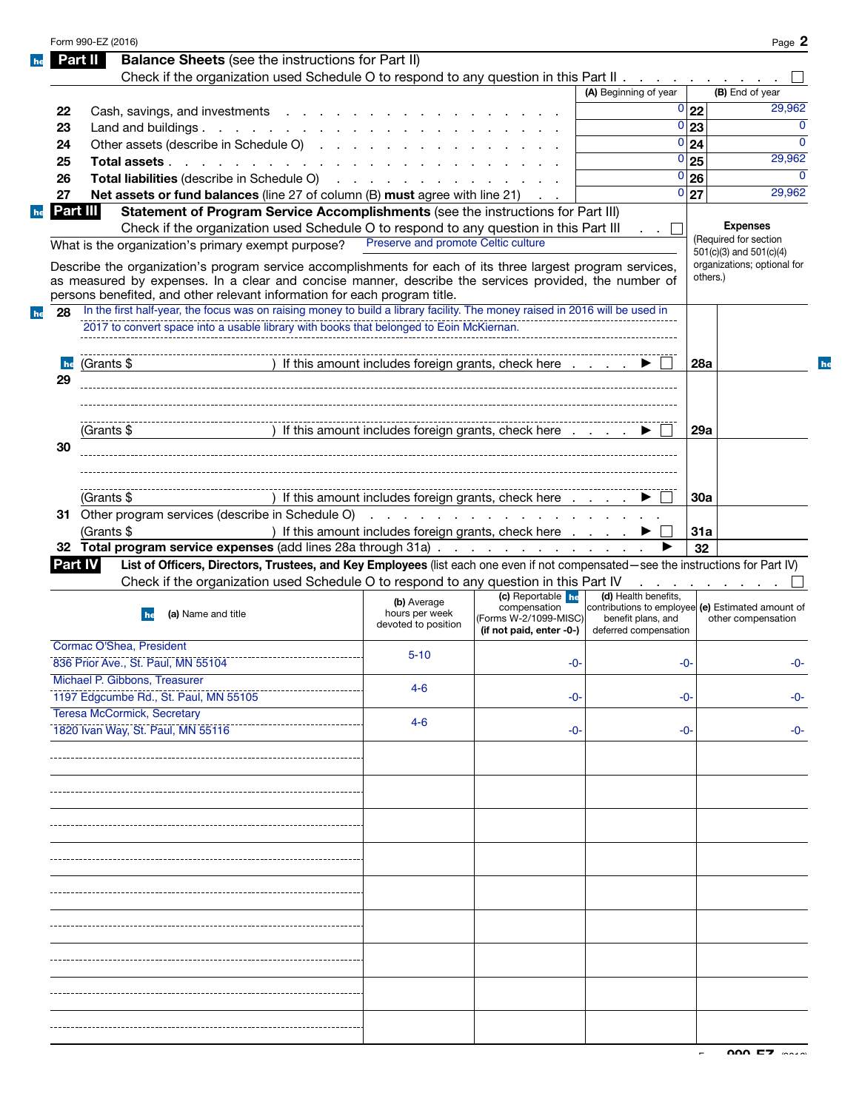|    | Form 990-EZ (2016)                                                                                                                                                                                                                                                                                |                                     |                                                                                     |                                                                         |                   | Page 2                        |
|----|---------------------------------------------------------------------------------------------------------------------------------------------------------------------------------------------------------------------------------------------------------------------------------------------------|-------------------------------------|-------------------------------------------------------------------------------------|-------------------------------------------------------------------------|-------------------|-------------------------------|
|    | Part II<br><b>Balance Sheets</b> (see the instructions for Part II)                                                                                                                                                                                                                               |                                     |                                                                                     |                                                                         |                   |                               |
|    | Check if the organization used Schedule O to respond to any question in this Part II                                                                                                                                                                                                              |                                     |                                                                                     |                                                                         |                   |                               |
|    |                                                                                                                                                                                                                                                                                                   |                                     |                                                                                     | (A) Beginning of year                                                   |                   | (B) End of year               |
| 22 | Cash, savings, and investments                                                                                                                                                                                                                                                                    |                                     |                                                                                     |                                                                         | $0\overline{22}$  | 29,962                        |
| 23 | Land and buildings.                                                                                                                                                                                                                                                                               |                                     |                                                                                     |                                                                         | $\overline{0 23}$ | $\mathbf 0$                   |
| 24 | Other assets (describe in Schedule O)                                                                                                                                                                                                                                                             |                                     |                                                                                     |                                                                         | $\overline{0}$ 24 | $\Omega$                      |
| 25 | Total assets                                                                                                                                                                                                                                                                                      |                                     |                                                                                     |                                                                         | $\overline{0}$ 25 | 29,962                        |
| 26 | <b>Total liabilities</b> (describe in Schedule O)                                                                                                                                                                                                                                                 |                                     |                                                                                     |                                                                         | $\overline{0 26}$ | $\mathbf 0$                   |
| 27 | Net assets or fund balances (line 27 of column (B) must agree with line 21)                                                                                                                                                                                                                       |                                     |                                                                                     |                                                                         | $\overline{0}$ 27 | 29,962                        |
|    | Part III<br>Statement of Program Service Accomplishments (see the instructions for Part III)                                                                                                                                                                                                      |                                     |                                                                                     |                                                                         |                   |                               |
|    | Check if the organization used Schedule O to respond to any question in this Part III                                                                                                                                                                                                             |                                     |                                                                                     | . . L                                                                   |                   | <b>Expenses</b>               |
|    | What is the organization's primary exempt purpose?                                                                                                                                                                                                                                                | Preserve and promote Celtic culture |                                                                                     |                                                                         |                   | (Required for section         |
|    |                                                                                                                                                                                                                                                                                                   |                                     |                                                                                     |                                                                         |                   | $501(c)(3)$ and $501(c)(4)$   |
|    | Describe the organization's program service accomplishments for each of its three largest program services,<br>as measured by expenses. In a clear and concise manner, describe the services provided, the number of<br>persons benefited, and other relevant information for each program title. |                                     |                                                                                     |                                                                         | others.)          | organizations; optional for   |
| 28 | In the first half-year, the focus was on raising money to build a library facility. The money raised in 2016 will be used in                                                                                                                                                                      |                                     |                                                                                     |                                                                         |                   |                               |
|    | 2017 to convert space into a usable library with books that belonged to Eoin McKiernan.                                                                                                                                                                                                           |                                     |                                                                                     |                                                                         |                   |                               |
|    |                                                                                                                                                                                                                                                                                                   |                                     |                                                                                     |                                                                         |                   |                               |
|    |                                                                                                                                                                                                                                                                                                   |                                     |                                                                                     |                                                                         |                   |                               |
| he | (Grants \$                                                                                                                                                                                                                                                                                        |                                     | If this amount includes foreign grants, check here $\ldots$ $\blacksquare$          |                                                                         | <b>28a</b>        |                               |
| 29 |                                                                                                                                                                                                                                                                                                   |                                     |                                                                                     |                                                                         |                   |                               |
|    |                                                                                                                                                                                                                                                                                                   |                                     |                                                                                     |                                                                         |                   |                               |
|    |                                                                                                                                                                                                                                                                                                   |                                     |                                                                                     |                                                                         |                   |                               |
|    | (Grants \$                                                                                                                                                                                                                                                                                        |                                     | ) If this amount includes foreign grants, check here $\ldots$ $\blacktriangleright$ |                                                                         | 29a               |                               |
| 30 |                                                                                                                                                                                                                                                                                                   |                                     |                                                                                     |                                                                         |                   |                               |
|    |                                                                                                                                                                                                                                                                                                   |                                     |                                                                                     |                                                                         |                   |                               |
|    |                                                                                                                                                                                                                                                                                                   |                                     |                                                                                     |                                                                         |                   |                               |
|    | (Grants \$                                                                                                                                                                                                                                                                                        |                                     | ) If this amount includes foreign grants, check here $\ldots$ $\blacktriangleright$ |                                                                         | <b>30a</b>        |                               |
|    | 31 Other program services (describe in Schedule O)                                                                                                                                                                                                                                                |                                     | the contract of the contract of the contract of the contract of                     |                                                                         |                   |                               |
|    | (Grants \$                                                                                                                                                                                                                                                                                        |                                     | ) If this amount includes foreign grants, check here $\ldots$ $\blacktriangleright$ |                                                                         | 31a               |                               |
|    | 32 Total program service expenses (add lines 28a through 31a)                                                                                                                                                                                                                                     |                                     |                                                                                     |                                                                         | 32                |                               |
|    | Part IV<br>List of Officers, Directors, Trustees, and Key Employees (list each one even if not compensated-see the instructions for Part IV)                                                                                                                                                      |                                     |                                                                                     |                                                                         |                   |                               |
|    | Check if the organization used Schedule O to respond to any question in this Part IV                                                                                                                                                                                                              |                                     |                                                                                     |                                                                         |                   | and the company of the series |
|    |                                                                                                                                                                                                                                                                                                   | (b) Average                         | (c) Reportable $he$                                                                 | (d) Health benefits.                                                    |                   |                               |
|    | (a) Name and title<br>he                                                                                                                                                                                                                                                                          | hours per week                      | compensation<br>(Forms W-2/1099-MISC)                                               | contributions to employee (e) Estimated amount of<br>benefit plans, and |                   | other compensation            |
|    |                                                                                                                                                                                                                                                                                                   | devoted to position                 | (if not paid, enter -0-)                                                            | deferred compensation                                                   |                   |                               |
|    | Cormac O'Shea, President                                                                                                                                                                                                                                                                          |                                     |                                                                                     |                                                                         |                   |                               |
|    | 836 Prior Ave., St. Paul, MN 55104                                                                                                                                                                                                                                                                | $5 - 10$                            | -0-                                                                                 | -೧                                                                      |                   | -0-                           |
|    | Michael P. Gibbons, Treasurer                                                                                                                                                                                                                                                                     |                                     |                                                                                     |                                                                         |                   |                               |
|    | 1197 Edgcumbe Rd., St. Paul, MN 55105                                                                                                                                                                                                                                                             | $4 - 6$                             | -0-                                                                                 |                                                                         | -0-               | -0-                           |
|    | <b>Teresa McCormick, Secretary</b>                                                                                                                                                                                                                                                                |                                     |                                                                                     |                                                                         |                   |                               |
|    | 1820 Ivan Way, St. Paul, MN 55116                                                                                                                                                                                                                                                                 | 4-6                                 | -0-                                                                                 |                                                                         | -0-               | -0-                           |
|    |                                                                                                                                                                                                                                                                                                   |                                     |                                                                                     |                                                                         |                   |                               |
|    |                                                                                                                                                                                                                                                                                                   |                                     |                                                                                     |                                                                         |                   |                               |
|    |                                                                                                                                                                                                                                                                                                   |                                     |                                                                                     |                                                                         |                   |                               |
|    |                                                                                                                                                                                                                                                                                                   |                                     |                                                                                     |                                                                         |                   |                               |
|    |                                                                                                                                                                                                                                                                                                   |                                     |                                                                                     |                                                                         |                   |                               |
|    |                                                                                                                                                                                                                                                                                                   |                                     |                                                                                     |                                                                         |                   |                               |
|    |                                                                                                                                                                                                                                                                                                   |                                     |                                                                                     |                                                                         |                   |                               |
|    |                                                                                                                                                                                                                                                                                                   |                                     |                                                                                     |                                                                         |                   |                               |
|    |                                                                                                                                                                                                                                                                                                   |                                     |                                                                                     |                                                                         |                   |                               |
|    |                                                                                                                                                                                                                                                                                                   |                                     |                                                                                     |                                                                         |                   |                               |
|    |                                                                                                                                                                                                                                                                                                   |                                     |                                                                                     |                                                                         |                   |                               |
|    |                                                                                                                                                                                                                                                                                                   |                                     |                                                                                     |                                                                         |                   |                               |
|    |                                                                                                                                                                                                                                                                                                   |                                     |                                                                                     |                                                                         |                   |                               |
|    |                                                                                                                                                                                                                                                                                                   |                                     |                                                                                     |                                                                         |                   |                               |
|    |                                                                                                                                                                                                                                                                                                   |                                     |                                                                                     |                                                                         |                   |                               |
|    |                                                                                                                                                                                                                                                                                                   |                                     |                                                                                     |                                                                         |                   |                               |
|    |                                                                                                                                                                                                                                                                                                   |                                     |                                                                                     |                                                                         |                   |                               |
|    |                                                                                                                                                                                                                                                                                                   |                                     |                                                                                     |                                                                         |                   |                               |
|    |                                                                                                                                                                                                                                                                                                   |                                     |                                                                                     |                                                                         |                   |                               |
|    |                                                                                                                                                                                                                                                                                                   |                                     |                                                                                     |                                                                         |                   |                               |
|    |                                                                                                                                                                                                                                                                                                   |                                     |                                                                                     |                                                                         |                   |                               |

 $h$ e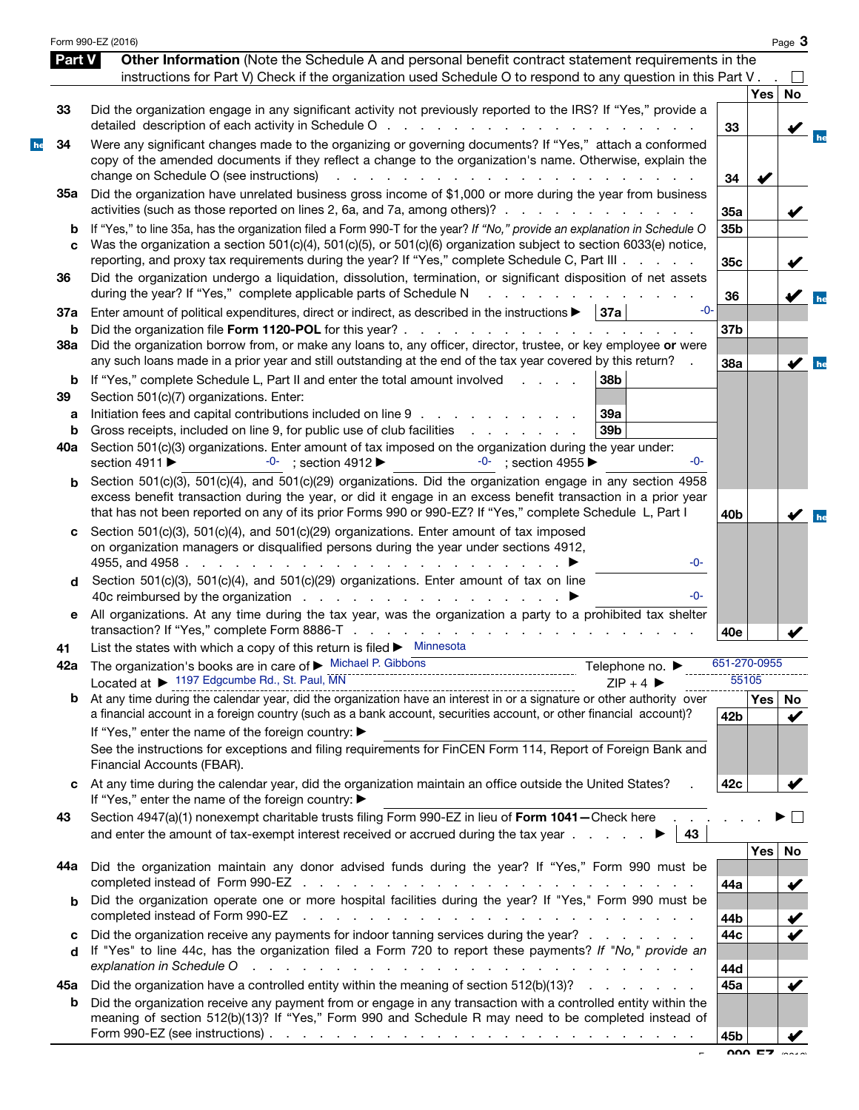|        | Form 990-EZ (2016)                                                                                                                                                                                                                        |                 |                  | Page 3 |
|--------|-------------------------------------------------------------------------------------------------------------------------------------------------------------------------------------------------------------------------------------------|-----------------|------------------|--------|
| Part V | Other Information (Note the Schedule A and personal benefit contract statement requirements in the                                                                                                                                        |                 |                  |        |
|        | instructions for Part V) Check if the organization used Schedule O to respond to any question in this Part V.                                                                                                                             |                 | Yes              |        |
| 33     | Did the organization engage in any significant activity not previously reported to the IRS? If "Yes," provide a                                                                                                                           |                 |                  | No     |
|        |                                                                                                                                                                                                                                           | 33              |                  |        |
| 34     | Were any significant changes made to the organizing or governing documents? If "Yes," attach a conformed                                                                                                                                  |                 |                  |        |
|        | copy of the amended documents if they reflect a change to the organization's name. Otherwise, explain the                                                                                                                                 |                 |                  |        |
|        | change on Schedule O (see instructions)<br>the contract of the contract of the contract of the contract of the contract of                                                                                                                | 34              |                  |        |
| 35а    | Did the organization have unrelated business gross income of \$1,000 or more during the year from business                                                                                                                                |                 |                  |        |
|        | activities (such as those reported on lines 2, 6a, and 7a, among others)?                                                                                                                                                                 | 35a             |                  |        |
| b      | If "Yes," to line 35a, has the organization filed a Form 990-T for the year? If "No," provide an explanation in Schedule O                                                                                                                | 35b             |                  |        |
|        | Was the organization a section 501(c)(4), 501(c)(5), or 501(c)(6) organization subject to section 6033(e) notice,<br>reporting, and proxy tax requirements during the year? If "Yes," complete Schedule C, Part III                       |                 |                  |        |
| 36     | Did the organization undergo a liquidation, dissolution, termination, or significant disposition of net assets                                                                                                                            | 35c             |                  |        |
|        | during the year? If "Yes," complete applicable parts of Schedule N<br>and the contract of the contract                                                                                                                                    | 36              |                  |        |
| 37a    | $-0-$<br>Enter amount of political expenditures, direct or indirect, as described in the instructions $\blacktriangleright$   37a                                                                                                         |                 |                  |        |
| b      |                                                                                                                                                                                                                                           | 37 <sub>b</sub> |                  |        |
| 38a    | Did the organization borrow from, or make any loans to, any officer, director, trustee, or key employee or were                                                                                                                           |                 |                  |        |
|        | any such loans made in a prior year and still outstanding at the end of the tax year covered by this return?<br>$\sim$                                                                                                                    | 38a             |                  | V      |
| b      | 38 <sub>b</sub><br>If "Yes," complete Schedule L, Part II and enter the total amount involved                                                                                                                                             |                 |                  |        |
| 39     | Section 501(c)(7) organizations. Enter:                                                                                                                                                                                                   |                 |                  |        |
| a      | Initiation fees and capital contributions included on line 9<br><b>39a</b>                                                                                                                                                                |                 |                  |        |
| b      | Gross receipts, included on line 9, for public use of club facilities<br>39 <sub>b</sub>                                                                                                                                                  |                 |                  |        |
| 40a    | Section 501(c)(3) organizations. Enter amount of tax imposed on the organization during the year under:<br>-0-                                                                                                                            |                 |                  |        |
|        | section 4911 ▶<br>$-0-$ ; section 4955<br>$-0-$ ; section 4912                                                                                                                                                                            |                 |                  |        |
|        | Section 501(c)(3), 501(c)(4), and 501(c)(29) organizations. Did the organization engage in any section 4958<br>excess benefit transaction during the year, or did it engage in an excess benefit transaction in a prior year              |                 |                  |        |
|        | that has not been reported on any of its prior Forms 990 or 990-EZ? If "Yes," complete Schedule L, Part I                                                                                                                                 | 40 <sub>b</sub> |                  |        |
| c      | Section 501(c)(3), 501(c)(4), and 501(c)(29) organizations. Enter amount of tax imposed                                                                                                                                                   |                 |                  |        |
|        | on organization managers or disqualified persons during the year under sections 4912,                                                                                                                                                     |                 |                  |        |
|        | -0-                                                                                                                                                                                                                                       |                 |                  |        |
| d      | Section 501(c)(3), 501(c)(4), and 501(c)(29) organizations. Enter amount of tax on line                                                                                                                                                   |                 |                  |        |
|        | 40c reimbursed by the organization enterstanding to the set of the organization enterstanding to the set of the set of the set of the set of the set of the set of the set of the set of the set of the set of the set of the<br>-0-      |                 |                  |        |
| е      | All organizations. At any time during the tax year, was the organization a party to a prohibited tax shelter                                                                                                                              | 40e             |                  |        |
| 41     | List the states with which a copy of this return is filed $\blacktriangleright$ Minnesota                                                                                                                                                 |                 |                  |        |
|        | 42a The organization's books are in care of ► Michael P. Gibbons<br>Located at ► 1197 Edgcumbe Rd., St. Paul, MN<br>Telephone no. ▶                                                                                                       |                 | 651-270-0955     |        |
|        | $ZIP + 4$                                                                                                                                                                                                                                 |                 | 55105            |        |
|        | a financial account in a foreign country (such as a bank account, securities account, or other financial account)?                                                                                                                        |                 | Yes   No         |        |
|        | If "Yes," enter the name of the foreign country: ▶                                                                                                                                                                                        | 42 <sub>b</sub> |                  | ✔      |
|        | See the instructions for exceptions and filing requirements for FinCEN Form 114, Report of Foreign Bank and                                                                                                                               |                 |                  |        |
|        | Financial Accounts (FBAR).                                                                                                                                                                                                                |                 |                  |        |
| C      | At any time during the calendar year, did the organization maintain an office outside the United States?<br>If "Yes," enter the name of the foreign country: ▶                                                                            | 42c             |                  |        |
| 43     | Section 4947(a)(1) nonexempt charitable trusts filing Form 990-EZ in lieu of Form 1041-Check here                                                                                                                                         |                 |                  |        |
|        | and enter the amount of tax-exempt interest received or accrued during the tax year $\ldots$<br>43                                                                                                                                        |                 |                  |        |
|        |                                                                                                                                                                                                                                           |                 | Yes <sub>1</sub> | No     |
| 44а    | Did the organization maintain any donor advised funds during the year? If "Yes," Form 990 must be                                                                                                                                         |                 |                  |        |
|        |                                                                                                                                                                                                                                           | 44a             |                  |        |
| b      | Did the organization operate one or more hospital facilities during the year? If "Yes," Form 990 must be<br>completed instead of Form 990-EZ<br>the contract of the contract of the contract of the contract of the contract of           | 44b             |                  |        |
| c      | Did the organization receive any payments for indoor tanning services during the year?                                                                                                                                                    | 44c             |                  |        |
| d      | If "Yes" to line 44c, has the organization filed a Form 720 to report these payments? If "No," provide an                                                                                                                                 |                 |                  |        |
|        | explanation in Schedule O recovery recovery and contact the contract of the contract of the contract of the contract of the contract of the contract of the contract of the contract of the contract of the contract of the co            | 44d             |                  |        |
| 45а    | Did the organization have a controlled entity within the meaning of section 512(b)(13)?                                                                                                                                                   | 45a             |                  |        |
|        |                                                                                                                                                                                                                                           |                 |                  |        |
| b      | Did the organization receive any payment from or engage in any transaction with a controlled entity within the                                                                                                                            |                 |                  |        |
|        | meaning of section 512(b)(13)? If "Yes," Form 990 and Schedule R may need to be completed instead of<br>Form 990-EZ (see instructions) $\ldots$ $\ldots$ $\ldots$ $\ldots$ $\ldots$ $\ldots$ $\ldots$ $\ldots$ $\ldots$ $\ldots$ $\ldots$ | 45b             |                  |        |